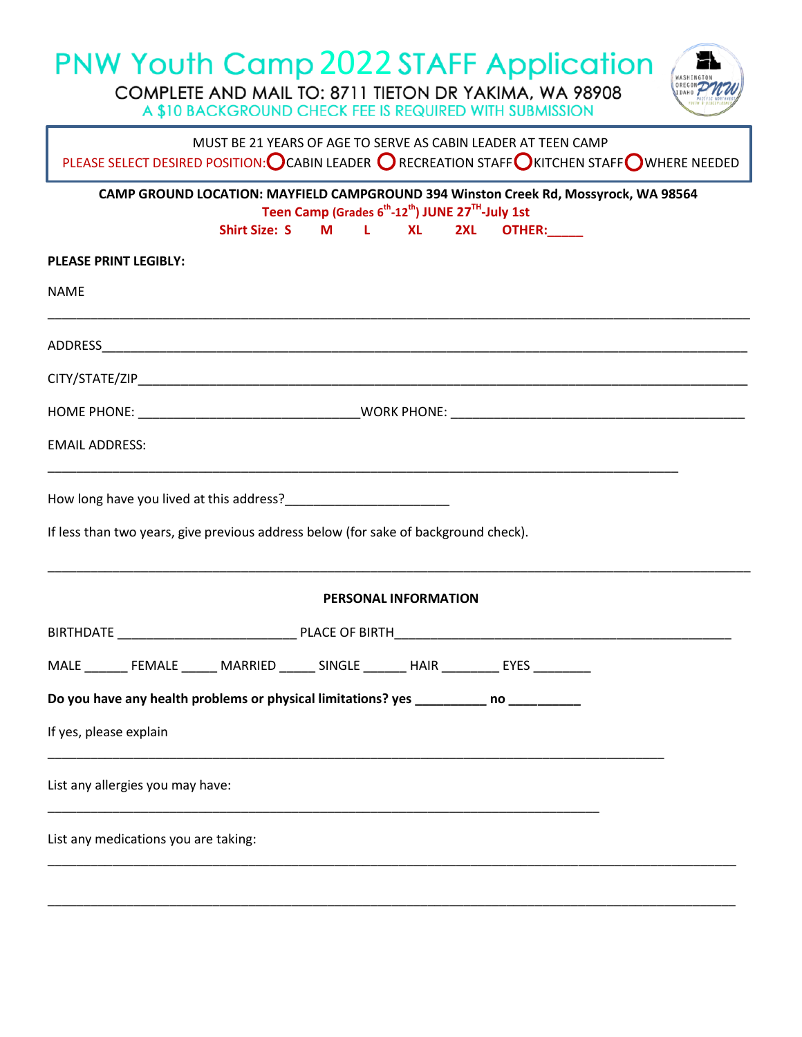# 2022

A \$10 BACKGROUND CHECK FEE IS REQUIRED WITH SUBMISSION



MUST BE 21 YEARS OF AGE TO SERVE AS CABIN LEADER AT TEEN CAMP

PLEASE SELECT DESIRED POSITION: CABIN LEADER  $\bigcirc$  recreation staff  $\bigcirc$  kitchen staff  $\bigcirc$  where needed

**CAMP GROUND LOCATION: MAYFIELD CAMPGROUND 394 Winston Creek Rd, Mossyrock, WA 98564 Teen Camp (Grades 6 th -12th) JUNE 27TH -July 1st Shirt Size: S M L XL 2XL OTHER:\_\_\_\_\_ PLEASE PRINT LEGIBLY:** NAME \_\_\_\_\_\_\_\_\_\_\_\_\_\_\_\_\_\_\_\_\_\_\_\_\_\_\_\_\_\_\_\_\_\_\_\_\_\_\_\_\_\_\_\_\_\_\_\_\_\_\_\_\_\_\_\_\_\_\_\_\_\_\_\_\_\_\_\_\_\_\_\_\_\_\_\_\_\_\_\_\_\_\_\_\_\_\_\_\_\_\_\_\_\_\_\_\_\_ ADDRESS\_\_\_\_\_\_\_\_\_\_\_\_\_\_\_\_\_\_\_\_\_\_\_\_\_\_\_\_\_\_\_\_\_\_\_\_\_\_\_\_\_\_\_\_\_\_\_\_\_\_\_\_\_\_\_\_\_\_\_\_\_\_\_\_\_\_\_\_\_\_\_\_\_\_\_\_\_\_\_\_\_\_\_\_\_\_\_\_\_\_ CITY/STATE/ZIP\_\_\_\_\_\_\_\_\_\_\_\_\_\_\_\_\_\_\_\_\_\_\_\_\_\_\_\_\_\_\_\_\_\_\_\_\_\_\_\_\_\_\_\_\_\_\_\_\_\_\_\_\_\_\_\_\_\_\_\_\_\_\_\_\_\_\_\_\_\_\_\_\_\_\_\_\_\_\_\_\_\_\_\_\_ HOME PHONE: The contract of the contract of the contract of the contract of the contract of the contract of the contract of the contract of the contract of the contract of the contract of the contract of the contract of th EMAIL ADDRESS: \_\_\_\_\_\_\_\_\_\_\_\_\_\_\_\_\_\_\_\_\_\_\_\_\_\_\_\_\_\_\_\_\_\_\_\_\_\_\_\_\_\_\_\_\_\_\_\_\_\_\_\_\_\_\_\_\_\_\_\_\_\_\_\_\_\_\_\_\_\_\_\_\_\_\_\_\_\_\_\_\_\_\_\_\_\_\_\_ How long have you lived at this address? If less than two years, give previous address below (for sake of background check). \_\_\_\_\_\_\_\_\_\_\_\_\_\_\_\_\_\_\_\_\_\_\_\_\_\_\_\_\_\_\_\_\_\_\_\_\_\_\_\_\_\_\_\_\_\_\_\_\_\_\_\_\_\_\_\_\_\_\_\_\_\_\_\_\_\_\_\_\_\_\_\_\_\_\_\_\_\_\_\_\_\_\_\_\_\_\_\_\_\_\_\_\_\_\_\_\_\_ **PERSONAL INFORMATION** BIRTHDATE \_\_\_\_\_\_\_\_\_\_\_\_\_\_\_\_\_\_\_\_\_\_\_\_\_ PLACE OF BIRTH\_\_\_\_\_\_\_\_\_\_\_\_\_\_\_\_\_\_\_\_\_\_\_\_\_\_\_\_\_\_\_\_\_\_\_\_\_\_\_\_\_\_\_\_\_\_\_

MALE FEMALE MARRIED SINGLE HAIR EYES

**Do you have any health problems or physical limitations? yes \_\_\_\_\_\_\_\_\_\_ no \_\_\_\_\_\_\_\_\_\_**

\_\_\_\_\_\_\_\_\_\_\_\_\_\_\_\_\_\_\_\_\_\_\_\_\_\_\_\_\_\_\_\_\_\_\_\_\_\_\_\_\_\_\_\_\_\_\_\_\_\_\_\_\_\_\_\_\_\_\_\_\_\_\_\_\_\_\_\_\_\_\_\_\_\_\_\_\_\_\_\_\_\_\_\_\_\_

\_\_\_\_\_\_\_\_\_\_\_\_\_\_\_\_\_\_\_\_\_\_\_\_\_\_\_\_\_\_\_\_\_\_\_\_\_\_\_\_\_\_\_\_\_\_\_\_\_\_\_\_\_\_\_\_\_\_\_\_\_\_\_\_\_\_\_\_\_\_\_\_\_\_\_\_\_\_\_\_\_\_\_\_\_\_\_\_\_\_\_\_\_\_\_\_

\_\_\_\_\_\_\_\_\_\_\_\_\_\_\_\_\_\_\_\_\_\_\_\_\_\_\_\_\_\_\_\_\_\_\_\_\_\_\_\_\_\_\_\_\_\_\_\_\_\_\_\_\_\_\_\_\_\_\_\_\_\_\_\_\_\_\_\_\_\_\_\_\_\_\_\_\_\_\_\_\_\_\_\_\_\_\_\_\_\_\_\_\_\_\_\_

If yes, please explain

List any allergies you may have:

List any medications you are taking: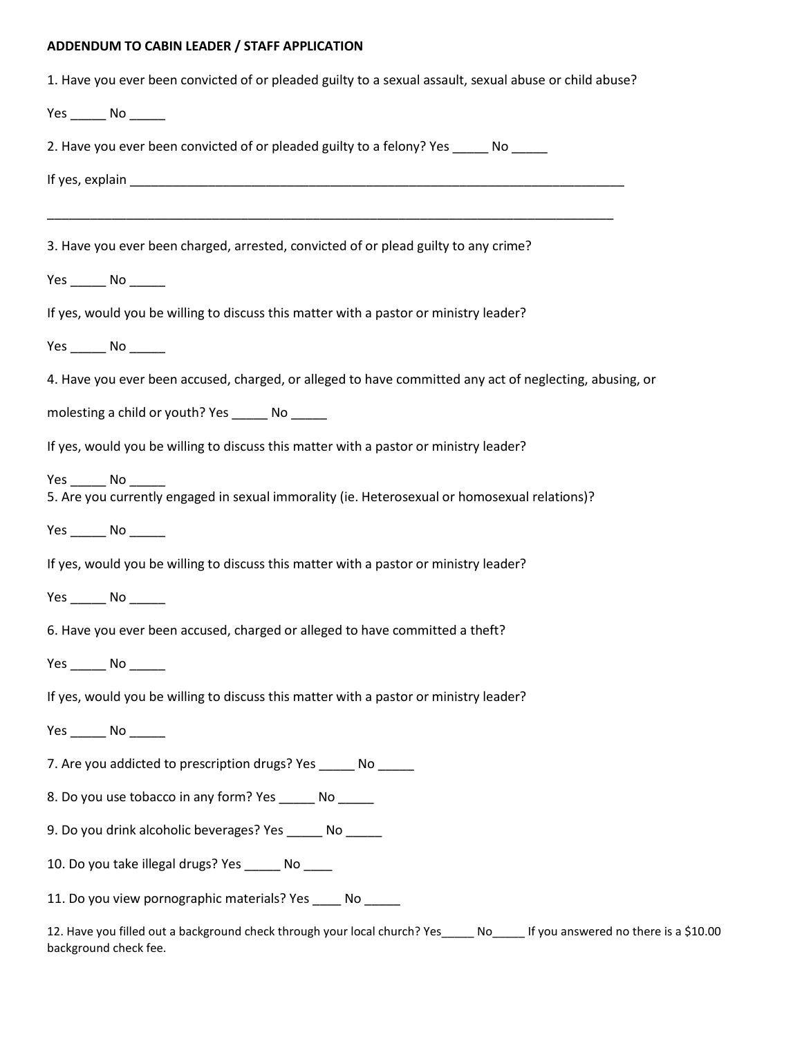### **ADDENDUM TO CABIN LEADER / STAFF APPLICATION**

| 1. Have you ever been convicted of or pleaded guilty to a sexual assault, sexual abuse or child abuse?  |  |  |  |  |  |
|---------------------------------------------------------------------------------------------------------|--|--|--|--|--|
|                                                                                                         |  |  |  |  |  |
| 2. Have you ever been convicted of or pleaded guilty to a felony? Yes _____ No _____                    |  |  |  |  |  |
|                                                                                                         |  |  |  |  |  |
|                                                                                                         |  |  |  |  |  |
| 3. Have you ever been charged, arrested, convicted of or plead guilty to any crime?                     |  |  |  |  |  |
|                                                                                                         |  |  |  |  |  |
| If yes, would you be willing to discuss this matter with a pastor or ministry leader?                   |  |  |  |  |  |
| Yes ________ No _______                                                                                 |  |  |  |  |  |
| 4. Have you ever been accused, charged, or alleged to have committed any act of neglecting, abusing, or |  |  |  |  |  |
| molesting a child or youth? Yes _______ No ______                                                       |  |  |  |  |  |
| If yes, would you be willing to discuss this matter with a pastor or ministry leader?                   |  |  |  |  |  |
| 5. Are you currently engaged in sexual immorality (ie. Heterosexual or homosexual relations)?           |  |  |  |  |  |
|                                                                                                         |  |  |  |  |  |
| If yes, would you be willing to discuss this matter with a pastor or ministry leader?                   |  |  |  |  |  |
|                                                                                                         |  |  |  |  |  |
| 6. Have you ever been accused, charged or alleged to have committed a theft?                            |  |  |  |  |  |
|                                                                                                         |  |  |  |  |  |
| If yes, would you be willing to discuss this matter with a pastor or ministry leader?                   |  |  |  |  |  |
|                                                                                                         |  |  |  |  |  |
| 7. Are you addicted to prescription drugs? Yes ______ No _____                                          |  |  |  |  |  |
| 8. Do you use tobacco in any form? Yes _____ No _____                                                   |  |  |  |  |  |
| 9. Do you drink alcoholic beverages? Yes ______ No _____                                                |  |  |  |  |  |
| 10. Do you take illegal drugs? Yes ______ No ____                                                       |  |  |  |  |  |
| 11. Do you view pornographic materials? Yes ____ No _____                                               |  |  |  |  |  |

12. Have you filled out a background check through your local church? Yes\_\_\_\_\_ No\_\_\_\_\_ If you answered no there is a \$10.00 background check fee.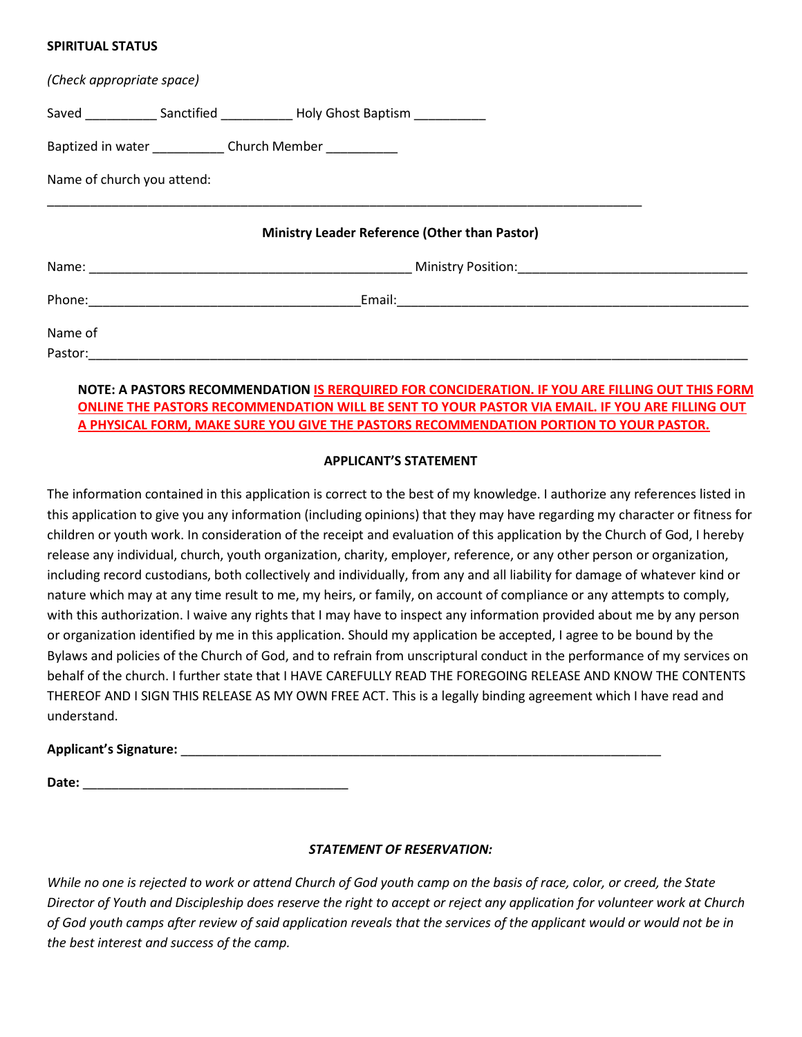#### **SPIRITUAL STATUS**

| (Check appropriate space)  |                                                                                  |                                                                                                                                                                                                                                |  |
|----------------------------|----------------------------------------------------------------------------------|--------------------------------------------------------------------------------------------------------------------------------------------------------------------------------------------------------------------------------|--|
|                            | Saved ______________ Sanctified _______________ Holy Ghost Baptism _____________ |                                                                                                                                                                                                                                |  |
|                            | Baptized in water _______________ Church Member ___________                      |                                                                                                                                                                                                                                |  |
| Name of church you attend: |                                                                                  |                                                                                                                                                                                                                                |  |
|                            | Ministry Leader Reference (Other than Pastor)                                    |                                                                                                                                                                                                                                |  |
|                            |                                                                                  | Name: Name and Alliance and Alliance and Alliance and Alliance and Alliance and Alliance and Alliance and Alliance and Alliance and Alliance and Alliance and Alliance and Alliance and Alliance and Alliance and Alliance and |  |
|                            |                                                                                  |                                                                                                                                                                                                                                |  |
| Name of                    |                                                                                  |                                                                                                                                                                                                                                |  |
| Pastor:                    |                                                                                  |                                                                                                                                                                                                                                |  |

# **NOTE: A PASTORS RECOMMENDATION IS RERQUIRED FOR CONCIDERATION. IF YOU ARE FILLING OUT THIS FORM ONLINE THE PASTORS RECOMMENDATION WILL BE SENT TO YOUR PASTOR VIA EMAIL. IF YOU ARE FILLING OUT A PHYSICAL FORM, MAKE SURE YOU GIVE THE PASTORS RECOMMENDATION PORTION TO YOUR PASTOR.**

## **APPLICANT'S STATEMENT**

The information contained in this application is correct to the best of my knowledge. I authorize any references listed in this application to give you any information (including opinions) that they may have regarding my character or fitness for children or youth work. In consideration of the receipt and evaluation of this application by the Church of God, I hereby release any individual, church, youth organization, charity, employer, reference, or any other person or organization, including record custodians, both collectively and individually, from any and all liability for damage of whatever kind or nature which may at any time result to me, my heirs, or family, on account of compliance or any attempts to comply, with this authorization. I waive any rights that I may have to inspect any information provided about me by any person or organization identified by me in this application. Should my application be accepted, I agree to be bound by the Bylaws and policies of the Church of God, and to refrain from unscriptural conduct in the performance of my services on behalf of the church. I further state that I HAVE CAREFULLY READ THE FOREGOING RELEASE AND KNOW THE CONTENTS THEREOF AND I SIGN THIS RELEASE AS MY OWN FREE ACT. This is a legally binding agreement which I have read and understand.

# **Applicant's Signature:** \_\_\_\_\_\_\_\_\_\_\_\_\_\_\_\_\_\_\_\_\_\_\_\_\_\_\_\_\_\_\_\_\_\_\_\_\_\_\_\_\_\_\_\_\_\_\_\_\_\_\_\_\_\_\_\_\_\_\_\_\_\_\_\_\_\_\_

**Date:** \_\_\_\_\_\_\_\_\_\_\_\_\_\_\_\_\_\_\_\_\_\_\_\_\_\_\_\_\_\_\_\_\_\_\_\_\_

## *STATEMENT OF RESERVATION:*

*While no one is rejected to work or attend Church of God youth camp on the basis of race, color, or creed, the State Director of Youth and Discipleship does reserve the right to accept or reject any application for volunteer work at Church of God youth camps after review of said application reveals that the services of the applicant would or would not be in the best interest and success of the camp.*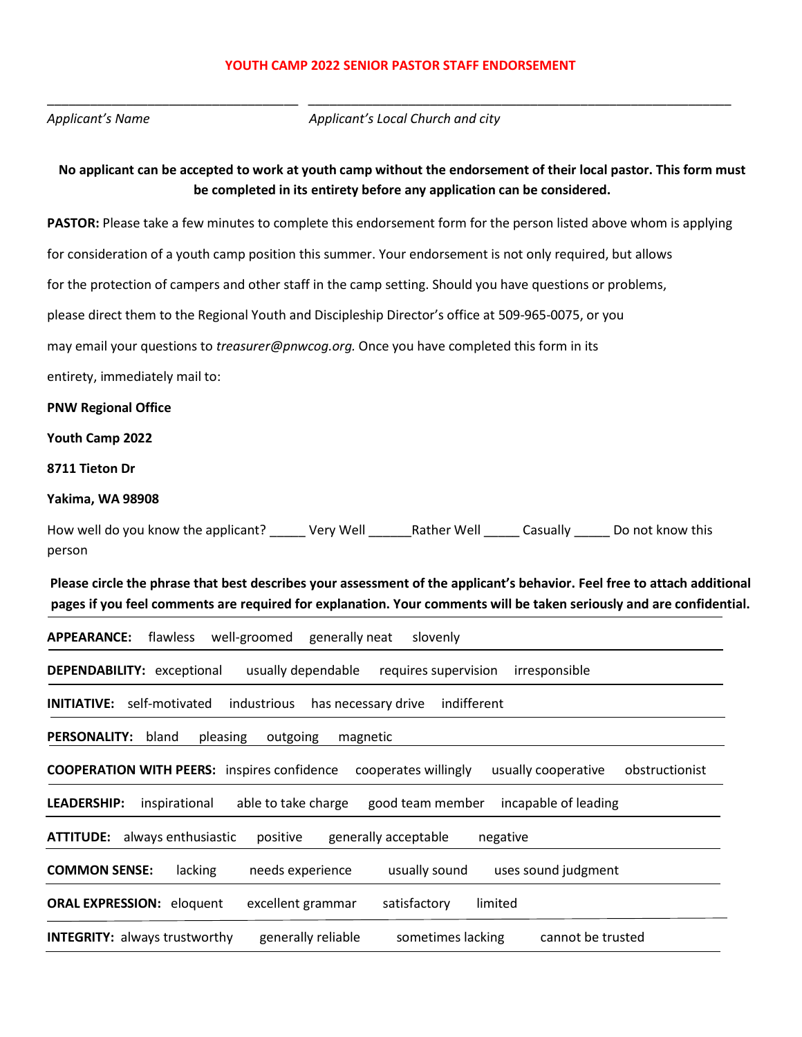#### **YOUTH CAMP 2022 SENIOR PASTOR STAFF ENDORSEMENT**

*Applicant's Name*

\_\_\_\_\_\_\_\_\_\_\_\_\_\_\_\_\_\_\_\_\_\_\_\_\_\_\_\_\_\_\_\_\_\_\_

*Applicant's Local Church and city*

\_\_\_\_\_\_\_\_\_\_\_\_\_\_\_\_\_\_\_\_\_\_\_\_\_\_\_\_\_\_\_\_\_\_\_\_\_\_\_\_\_\_\_\_\_\_\_\_\_\_\_\_\_\_\_\_\_\_\_

# **No applicant can be accepted to work at youth camp without the endorsement of their local pastor. This form must be completed in its entirety before any application can be considered.**

**PASTOR:** Please take a few minutes to complete this endorsement form for the person listed above whom is applying

for consideration of a youth camp position this summer. Your endorsement is not only required, but allows

for the protection of campers and other staff in the camp setting. Should you have questions or problems,

please direct them to the Regional Youth and Discipleship Director's office at 509-965-0075, or you

may email your questions to *treasurer@pnwcog.org.* Once you have completed this form in its

entirety, immediately mail to:

#### **PNW Regional Office**

**Youth Camp 2022**

**8711 Tieton Dr**

**Yakima, WA 98908**

How well do you know the applicant? \_\_\_\_\_ Very Well \_\_\_\_\_\_Rather Well \_\_\_\_\_ Casually \_\_\_\_\_ Do not know this person

**Please circle the phrase that best describes your assessment of the applicant's behavior. Feel free to attach additional pages if you feel comments are required for explanation. Your comments will be taken seriously and are confidential.**

| <b>APPEARANCE:</b> flawless<br>slovenly<br>well-groomed<br>generally neat                                           |  |  |  |
|---------------------------------------------------------------------------------------------------------------------|--|--|--|
| <b>DEPENDABILITY: exceptional</b><br>usually dependable<br>requires supervision<br>irresponsible                    |  |  |  |
| <b>INITIATIVE:</b> self-motivated<br>industrious has necessary drive<br>indifferent                                 |  |  |  |
| <b>PERSONALITY:</b><br>bland<br>outgoing<br>pleasing<br>magnetic                                                    |  |  |  |
| <b>COOPERATION WITH PEERS:</b> inspires confidence<br>usually cooperative<br>cooperates willingly<br>obstructionist |  |  |  |
| <b>LEADERSHIP:</b><br>inspirational<br>able to take charge<br>incapable of leading<br>good team member              |  |  |  |
| <b>ATTITUDE:</b> always enthusiastic<br>generally acceptable<br>positive<br>negative                                |  |  |  |
| <b>COMMON SENSE:</b><br>lacking<br>needs experience<br>usually sound<br>uses sound judgment                         |  |  |  |
| <b>ORAL EXPRESSION: eloquent</b><br>excellent grammar<br>satisfactory<br>limited                                    |  |  |  |
| <b>INTEGRITY: always trustworthy</b><br>generally reliable<br>sometimes lacking<br>cannot be trusted                |  |  |  |